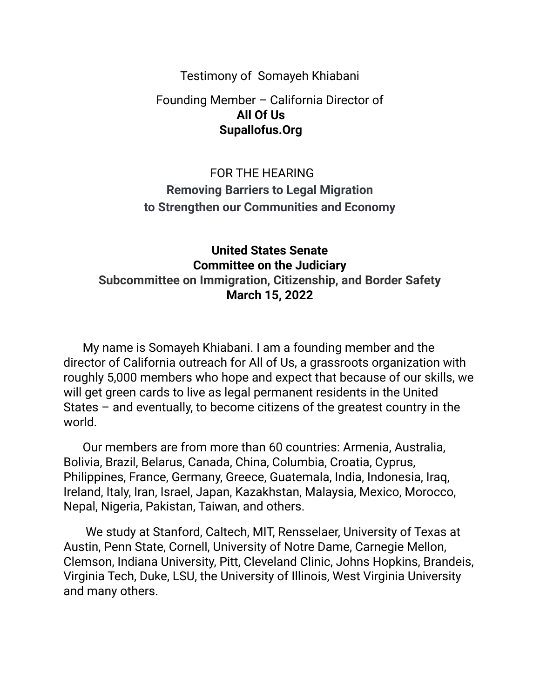Testimony of Somayeh Khiabani

### Founding Member – California Director of **All Of Us Supallofus.Org**

# FOR THE HEARING **Removing Barriers to Legal Migration to Strengthen our Communities and Economy**

### **United States Senate Committee on the Judiciary Subcommittee on Immigration, Citizenship, and Border Safety March 15, 2022**

My name is Somayeh Khiabani. I am a founding member and the director of California outreach for All of Us, a grassroots organization with roughly 5,000 members who hope and expect that because of our skills, we will get green cards to live as legal permanent residents in the United States – and eventually, to become citizens of the greatest country in the world.

Our members are from more than 60 countries: Armenia, Australia, Bolivia, Brazil, Belarus, Canada, China, Columbia, Croatia, Cyprus, Philippines, France, Germany, Greece, Guatemala, India, Indonesia, Iraq, Ireland, Italy, Iran, Israel, Japan, Kazakhstan, Malaysia, Mexico, Morocco, Nepal, Nigeria, Pakistan, Taiwan, and others.

We study at Stanford, Caltech, MIT, Rensselaer, University of Texas at Austin, Penn State, Cornell, University of Notre Dame, Carnegie Mellon, Clemson, Indiana University, Pitt, Cleveland Clinic, Johns Hopkins, Brandeis, Virginia Tech, Duke, LSU, the University of Illinois, West Virginia University and many others.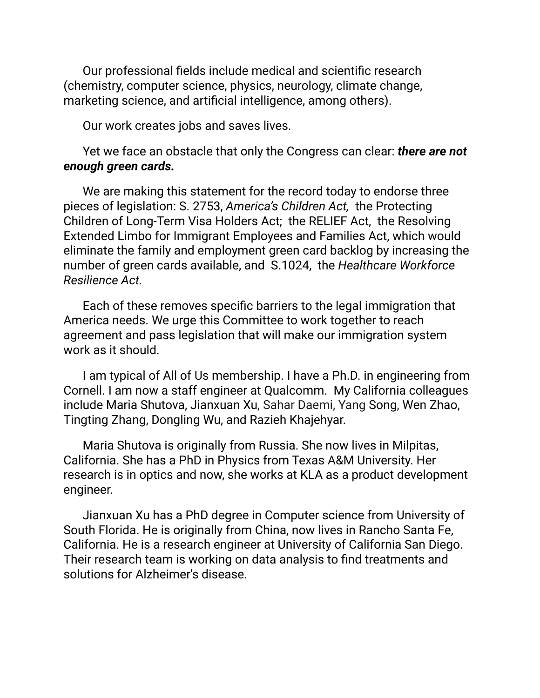Our professional fields include medical and scientific research (chemistry, computer science, physics, neurology, climate change, marketing science, and artificial intelligence, among others).

Our work creates jobs and saves lives.

### Yet we face an obstacle that only the Congress can clear: *there are not enough green cards.*

We are making this statement for the record today to endorse three pieces of legislation: S. 2753, *America's Children Act,* the Protecting Children of Long-Term Visa Holders Act; the RELIEF Act, the Resolving Extended Limbo for Immigrant Employees and Families Act, which would eliminate the family and employment green card backlog by increasing the number of green cards available, and S.1024, the *Healthcare Workforce Resilience Act.*

Each of these removes specific barriers to the legal immigration that America needs. We urge this Committee to work together to reach agreement and pass legislation that will make our immigration system work as it should.

I am typical of All of Us membership. I have a Ph.D. in engineering from Cornell. I am now a staff engineer at Qualcomm. My California colleagues include Maria Shutova, Jianxuan Xu, Sahar Daemi, Yang Song, Wen Zhao, Tingting Zhang, Dongling Wu, and Razieh Khajehyar.

Maria Shutova is originally from Russia. She now lives in Milpitas, California. She has a PhD in Physics from Texas A&M University. Her research is in optics and now, she works at KLA as a product development engineer.

Jianxuan Xu has a PhD degree in Computer science from University of South Florida. He is originally from China, now lives in Rancho Santa Fe, California. He is a research engineer at University of California San Diego. Their research team is working on data analysis to find treatments and solutions for Alzheimer's disease.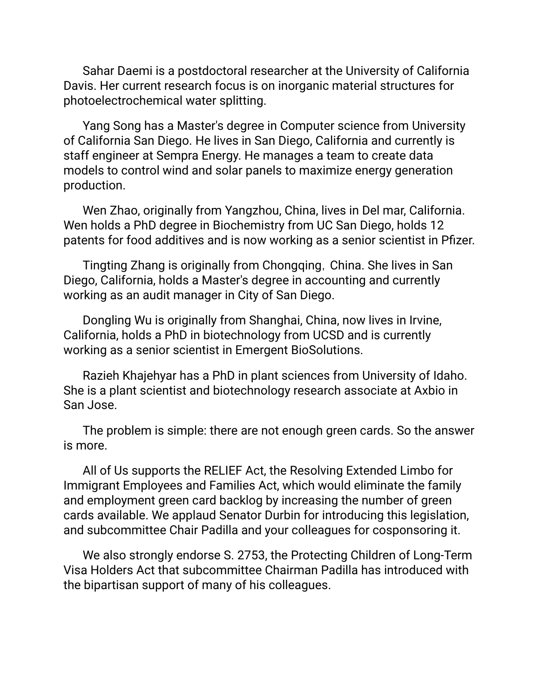Sahar Daemi is a postdoctoral researcher at the University of California Davis. Her current research focus is on inorganic material structures for photoelectrochemical water splitting.

Yang Song has a Master's degree in Computer science from University of California San Diego. He lives in San Diego, California and currently is staff engineer at Sempra Energy. He manages a team to create data models to control wind and solar panels to maximize energy generation production.

Wen Zhao, originally from Yangzhou, China, lives in Del mar, California. Wen holds a PhD degree in Biochemistry from UC San Diego, holds 12 patents for food additives and is now working as a senior scientist in Pfizer.

Tingting Zhang is originally from Chongqing, China. She lives in San Diego, California, holds a Master's degree in accounting and currently working as an audit manager in City of San Diego.

Dongling Wu is originally from Shanghai, China, now lives in Irvine, California, holds a PhD in biotechnology from UCSD and is currently working as a senior scientist in Emergent BioSolutions.

Razieh Khajehyar has a PhD in plant sciences from University of Idaho. She is a plant scientist and biotechnology research associate at Axbio in San Jose.

The problem is simple: there are not enough green cards. So the answer is more.

All of Us supports the RELIEF Act, the Resolving Extended Limbo for Immigrant Employees and Families Act, which would eliminate the family and employment green card backlog by increasing the number of green cards available. We applaud Senator Durbin for introducing this legislation, and subcommittee Chair Padilla and your colleagues for cosponsoring it.

We also strongly endorse S. 2753, the Protecting Children of Long-Term Visa Holders Act that subcommittee Chairman Padilla has introduced with the bipartisan support of many of his colleagues.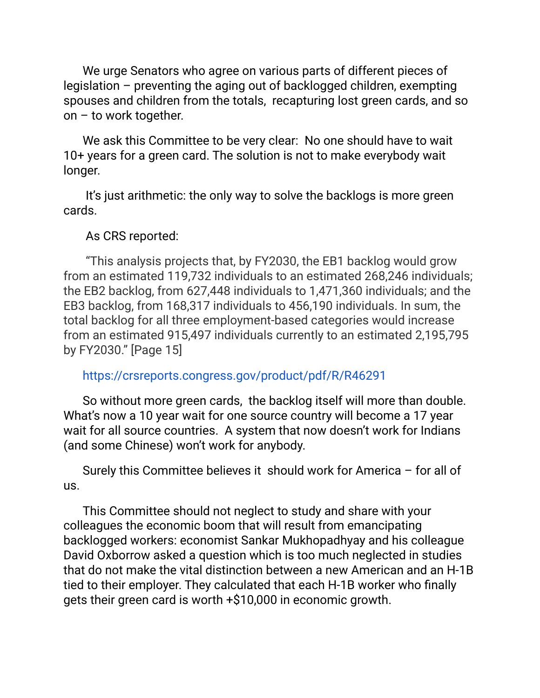We urge Senators who agree on various parts of different pieces of legislation – preventing the aging out of backlogged children, exempting spouses and children from the totals, recapturing lost green cards, and so on – to work together.

We ask this Committee to be very clear: No one should have to wait 10+ years for a green card. The solution is not to make everybody wait longer.

It's just arithmetic: the only way to solve the backlogs is more green cards.

### As CRS reported:

"This analysis projects that, by FY2030, the EB1 backlog would grow from an estimated 119,732 individuals to an estimated 268,246 individuals; the EB2 backlog, from 627,448 individuals to 1,471,360 individuals; and the EB3 backlog, from 168,317 individuals to 456,190 individuals. In sum, the total backlog for all three employment-based categories would increase from an estimated 915,497 individuals currently to an estimated 2,195,795 by FY2030." [Page 15]

#### https://crsreports.congress.gov/product/pdf/R/R46291

So without more green cards, the backlog itself will more than double. What's now a 10 year wait for one source country will become a 17 year wait for all source countries. A system that now doesn't work for Indians (and some Chinese) won't work for anybody.

Surely this Committee believes it should work for America – for all of us.

This Committee should not neglect to study and share with your colleagues the economic boom that will result from emancipating backlogged workers: economist Sankar Mukhopadhyay and his colleague David Oxborrow asked a question which is too much neglected in studies that do not make the vital distinction between a new American and an H-1B tied to their employer. They calculated that each H-1B worker who finally gets their green card is worth +\$10,000 in economic growth.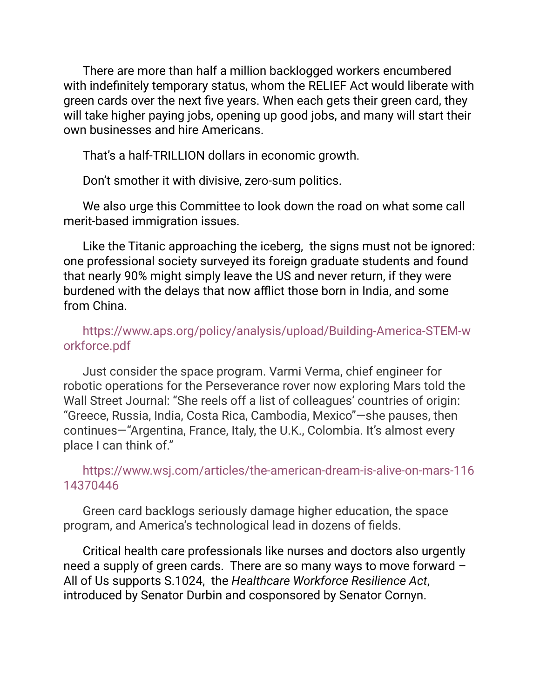There are more than half a million backlogged workers encumbered with indefinitely temporary status, whom the RELIEF Act would liberate with green cards over the next five years. When each gets their green card, they will take higher paying jobs, opening up good jobs, and many will start their own businesses and hire Americans.

That's a half-TRILLION dollars in economic growth.

Don't smother it with divisive, zero-sum politics.

We also urge this Committee to look down the road on what some call merit-based immigration issues.

Like the Titanic approaching the iceberg, the signs must not be ignored: one professional society surveyed its foreign graduate students and found that nearly 90% might simply leave the US and never return, if they were burdened with the delays that now afflict those born in India, and some from China.

## https://www.aps.org/policy/analysis/upload/Building-America-STEM-w orkforce.pdf

Just consider the space program. Varmi Verma, chief engineer for robotic operations for the Perseverance rover now exploring Mars told the Wall Street Journal: "She reels off a list of colleagues' countries of origin: "Greece, Russia, India, Costa Rica, Cambodia, Mexico"—she pauses, then continues—"Argentina, France, Italy, the U.K., Colombia. It's almost every place I can think of."

## https://www.wsj.com/articles/the-american-dream-is-alive-on-mars-116 14370446

Green card backlogs seriously damage higher education, the space program, and America's technological lead in dozens of fields.

Critical health care professionals like nurses and doctors also urgently need a supply of green cards. There are so many ways to move forward – All of Us supports S.1024, the *Healthcare Workforce Resilience Act*, introduced by Senator Durbin and cosponsored by Senator Cornyn.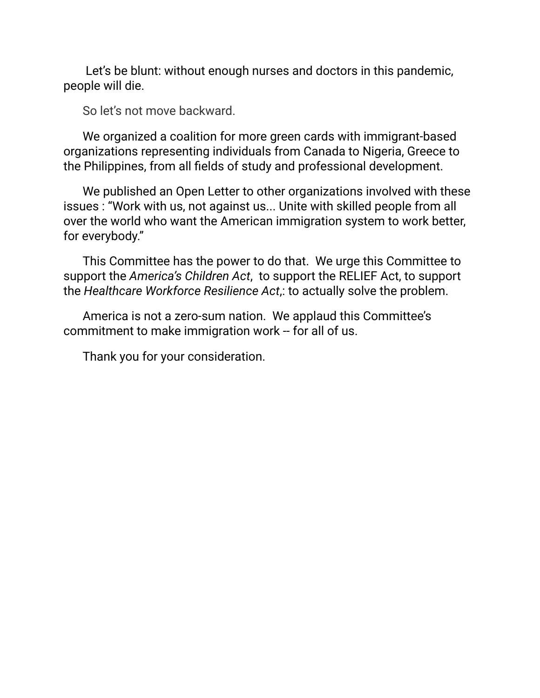Let's be blunt: without enough nurses and doctors in this pandemic, people will die.

So let's not move backward.

We organized a coalition for more green cards with immigrant-based organizations representing individuals from Canada to Nigeria, Greece to the Philippines, from all fields of study and professional development.

We published an Open Letter to other organizations involved with these issues : "Work with us, not against us... Unite with skilled people from all over the world who want the American immigration system to work better, for everybody."

This Committee has the power to do that. We urge this Committee to support the *America's Children Act*, to support the RELIEF Act, to support the *Healthcare Workforce Resilience Act*,: to actually solve the problem.

America is not a zero-sum nation. We applaud this Committee's commitment to make immigration work -- for all of us.

Thank you for your consideration.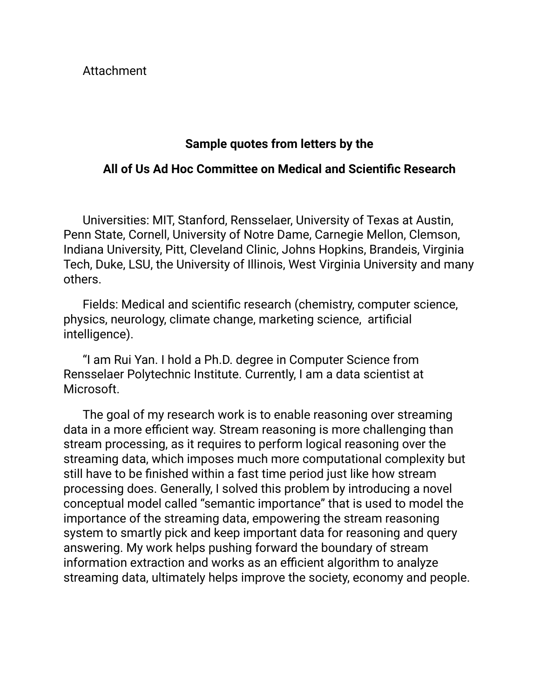Attachment

## **Sample quotes from letters by the**

### **All of Us Ad Hoc Committee on Medical and Scientific Research**

Universities: MIT, Stanford, Rensselaer, University of Texas at Austin, Penn State, Cornell, University of Notre Dame, Carnegie Mellon, Clemson, Indiana University, Pitt, Cleveland Clinic, Johns Hopkins, Brandeis, Virginia Tech, Duke, LSU, the University of Illinois, West Virginia University and many others.

Fields: Medical and scientific research (chemistry, computer science, physics, neurology, climate change, marketing science, artificial intelligence).

"I am Rui Yan. I hold a Ph.D. degree in Computer Science from Rensselaer Polytechnic Institute. Currently, I am a data scientist at Microsoft.

The goal of my research work is to enable reasoning over streaming data in a more efficient way. Stream reasoning is more challenging than stream processing, as it requires to perform logical reasoning over the streaming data, which imposes much more computational complexity but still have to be finished within a fast time period just like how stream processing does. Generally, I solved this problem by introducing a novel conceptual model called "semantic importance" that is used to model the importance of the streaming data, empowering the stream reasoning system to smartly pick and keep important data for reasoning and query answering. My work helps pushing forward the boundary of stream information extraction and works as an efficient algorithm to analyze streaming data, ultimately helps improve the society, economy and people.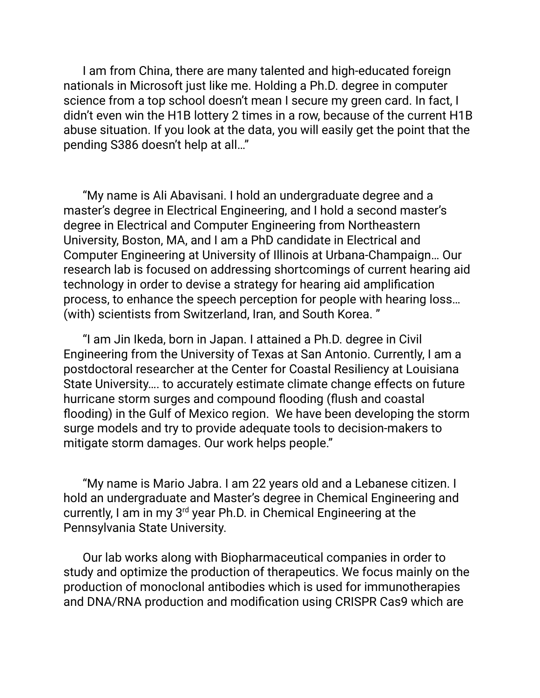I am from China, there are many talented and high-educated foreign nationals in Microsoft just like me. Holding a Ph.D. degree in computer science from a top school doesn't mean I secure my green card. In fact, I didn't even win the H1B lottery 2 times in a row, because of the current H1B abuse situation. If you look at the data, you will easily get the point that the pending S386 doesn't help at all…"

"My name is Ali Abavisani. I hold an undergraduate degree and a master's degree in Electrical Engineering, and I hold a second master's degree in Electrical and Computer Engineering from Northeastern University, Boston, MA, and I am a PhD candidate in Electrical and Computer Engineering at University of Illinois at Urbana-Champaign… Our research lab is focused on addressing shortcomings of current hearing aid technology in order to devise a strategy for hearing aid amplification process, to enhance the speech perception for people with hearing loss… (with) scientists from Switzerland, Iran, and South Korea. "

"I am Jin Ikeda, born in Japan. I attained a Ph.D. degree in Civil Engineering from the University of Texas at San Antonio. Currently, I am a postdoctoral researcher at the Center for Coastal Resiliency at Louisiana State University…. to accurately estimate climate change effects on future hurricane storm surges and compound flooding (flush and coastal flooding) in the Gulf of Mexico region. We have been developing the storm surge models and try to provide adequate tools to decision-makers to mitigate storm damages. Our work helps people."

"My name is Mario Jabra. I am 22 years old and a Lebanese citizen. I hold an undergraduate and Master's degree in Chemical Engineering and currently, I am in my 3<sup>rd</sup> year Ph.D. in Chemical Engineering at the Pennsylvania State University.

Our lab works along with Biopharmaceutical companies in order to study and optimize the production of therapeutics. We focus mainly on the production of monoclonal antibodies which is used for immunotherapies and DNA/RNA production and modification using CRISPR Cas9 which are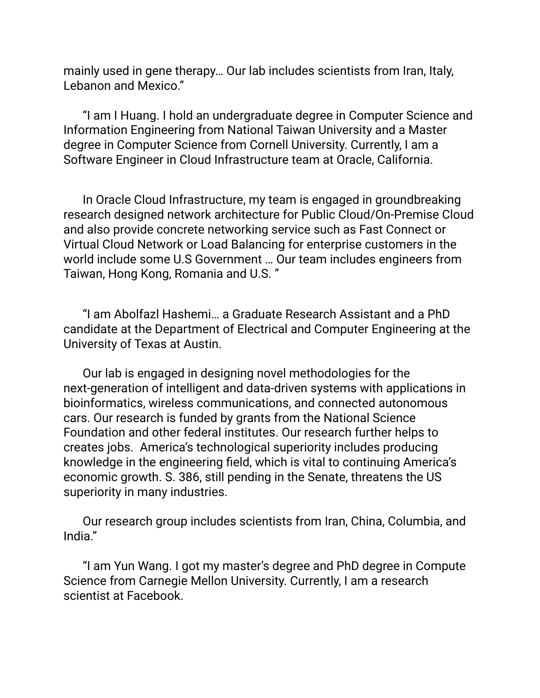mainly used in gene therapy… Our lab includes scientists from Iran, Italy, Lebanon and Mexico."

"I am I Huang. I hold an undergraduate degree in Computer Science and Information Engineering from National Taiwan University and a Master degree in Computer Science from Cornell University. Currently, I am a Software Engineer in Cloud Infrastructure team at Oracle, California.

In Oracle Cloud Infrastructure, my team is engaged in groundbreaking research designed network architecture for Public Cloud/On-Premise Cloud and also provide concrete networking service such as Fast Connect or Virtual Cloud Network or Load Balancing for enterprise customers in the world include some U.S Government … Our team includes engineers from Taiwan, Hong Kong, Romania and U.S. "

"I am Abolfazl Hashemi… a Graduate Research Assistant and a PhD candidate at the Department of Electrical and Computer Engineering at the University of Texas at Austin.

Our lab is engaged in designing novel methodologies for the next-generation of intelligent and data-driven systems with applications in bioinformatics, wireless communications, and connected autonomous cars. Our research is funded by grants from the National Science Foundation and other federal institutes. Our research further helps to creates jobs. America's technological superiority includes producing knowledge in the engineering field, which is vital to continuing America's economic growth. S. 386, still pending in the Senate, threatens the US superiority in many industries.

Our research group includes scientists from Iran, China, Columbia, and India."

"I am Yun Wang. I got my master's degree and PhD degree in Compute Science from Carnegie Mellon University. Currently, I am a research scientist at Facebook.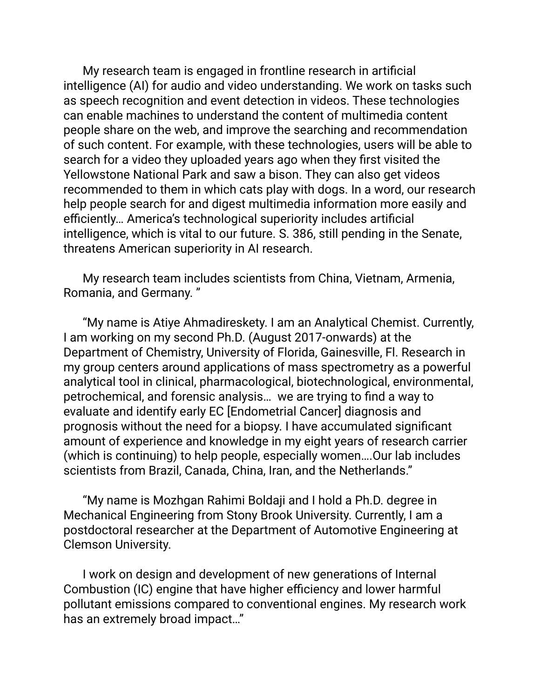My research team is engaged in frontline research in artificial intelligence (AI) for audio and video understanding. We work on tasks such as speech recognition and event detection in videos. These technologies can enable machines to understand the content of multimedia content people share on the web, and improve the searching and recommendation of such content. For example, with these technologies, users will be able to search for a video they uploaded years ago when they first visited the Yellowstone National Park and saw a bison. They can also get videos recommended to them in which cats play with dogs. In a word, our research help people search for and digest multimedia information more easily and efficiently… America's technological superiority includes artificial intelligence, which is vital to our future. S. 386, still pending in the Senate, threatens American superiority in AI research.

My research team includes scientists from China, Vietnam, Armenia, Romania, and Germany. "

"My name is Atiye Ahmadireskety. I am an Analytical Chemist. Currently, I am working on my second Ph.D. (August 2017-onwards) at the Department of Chemistry, University of Florida, Gainesville, Fl. Research in my group centers around applications of mass spectrometry as a powerful analytical tool in clinical, pharmacological, biotechnological, environmental, petrochemical, and forensic analysis… we are trying to find a way to evaluate and identify early EC [Endometrial Cancer] diagnosis and prognosis without the need for a biopsy. I have accumulated significant amount of experience and knowledge in my eight years of research carrier (which is continuing) to help people, especially women….Our lab includes scientists from Brazil, Canada, China, Iran, and the Netherlands."

"My name is Mozhgan Rahimi Boldaji and I hold a Ph.D. degree in Mechanical Engineering from Stony Brook University. Currently, I am a postdoctoral researcher at the Department of Automotive Engineering at Clemson University.

I work on design and development of new generations of Internal Combustion (IC) engine that have higher efficiency and lower harmful pollutant emissions compared to conventional engines. My research work has an extremely broad impact…"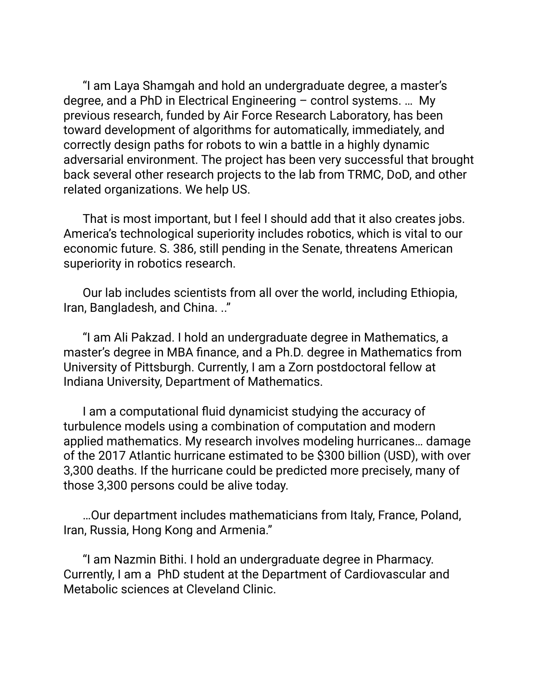"I am Laya Shamgah and hold an undergraduate degree, a master's degree, and a PhD in Electrical Engineering – control systems. … My previous research, funded by Air Force Research Laboratory, has been toward development of algorithms for automatically, immediately, and correctly design paths for robots to win a battle in a highly dynamic adversarial environment. The project has been very successful that brought back several other research projects to the lab from TRMC, DoD, and other related organizations. We help US.

That is most important, but I feel I should add that it also creates jobs. America's technological superiority includes robotics, which is vital to our economic future. S. 386, still pending in the Senate, threatens American superiority in robotics research.

Our lab includes scientists from all over the world, including Ethiopia, Iran, Bangladesh, and China. .."

"I am Ali Pakzad. I hold an undergraduate degree in Mathematics, a master's degree in MBA finance, and a Ph.D. degree in Mathematics from University of Pittsburgh. Currently, I am a Zorn postdoctoral fellow at Indiana University, Department of Mathematics.

I am a computational fluid dynamicist studying the accuracy of turbulence models using a combination of computation and modern applied mathematics. My research involves modeling hurricanes… damage of the 2017 Atlantic hurricane estimated to be \$300 billion (USD), with over 3,300 deaths. If the hurricane could be predicted more precisely, many of those 3,300 persons could be alive today.

…Our department includes mathematicians from Italy, France, Poland, Iran, Russia, Hong Kong and Armenia."

"I am Nazmin Bithi. I hold an undergraduate degree in Pharmacy. Currently, I am a PhD student at the Department of Cardiovascular and Metabolic sciences at Cleveland Clinic.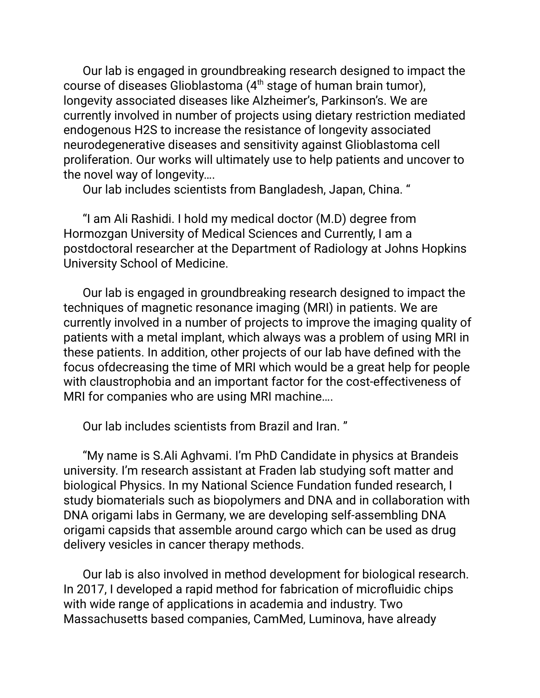Our lab is engaged in groundbreaking research designed to impact the course of diseases Glioblastoma (4<sup>th</sup> stage of human brain tumor), longevity associated diseases like Alzheimer's, Parkinson's. We are currently involved in number of projects using dietary restriction mediated endogenous H2S to increase the resistance of longevity associated neurodegenerative diseases and sensitivity against Glioblastoma cell proliferation. Our works will ultimately use to help patients and uncover to the novel way of longevity….

Our lab includes scientists from Bangladesh, Japan, China. "

"I am Ali Rashidi. I hold my medical doctor (M.D) degree from Hormozgan University of Medical Sciences and Currently, I am a postdoctoral researcher at the Department of Radiology at Johns Hopkins University School of Medicine.

Our lab is engaged in groundbreaking research designed to impact the techniques of magnetic resonance imaging (MRI) in patients. We are currently involved in a number of projects to improve the imaging quality of patients with a metal implant, which always was a problem of using MRI in these patients. In addition, other projects of our lab have defined with the focus ofdecreasing the time of MRI which would be a great help for people with claustrophobia and an important factor for the cost-effectiveness of MRI for companies who are using MRI machine….

Our lab includes scientists from Brazil and Iran. "

"My name is S.Ali Aghvami. I'm PhD Candidate in physics at Brandeis university. I'm research assistant at Fraden lab studying soft matter and biological Physics. In my National Science Fundation funded research, I study biomaterials such as biopolymers and DNA and in collaboration with DNA origami labs in Germany, we are developing self-assembling DNA origami capsids that assemble around cargo which can be used as drug delivery vesicles in cancer therapy methods.

Our lab is also involved in method development for biological research. In 2017, I developed a rapid method for fabrication of microfluidic chips with wide range of applications in academia and industry. Two Massachusetts based companies, CamMed, Luminova, have already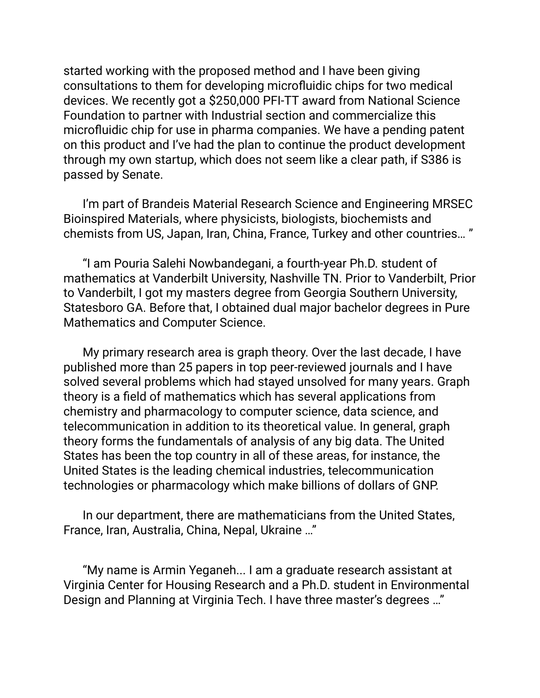started working with the proposed method and I have been giving consultations to them for developing microfluidic chips for two medical devices. We recently got a \$250,000 PFI-TT award from National Science Foundation to partner with Industrial section and commercialize this microfluidic chip for use in pharma companies. We have a pending patent on this product and I've had the plan to continue the product development through my own startup, which does not seem like a clear path, if S386 is passed by Senate.

I'm part of Brandeis Material Research Science and Engineering MRSEC Bioinspired Materials, where physicists, biologists, biochemists and chemists from US, Japan, Iran, China, France, Turkey and other countries… "

"I am Pouria Salehi Nowbandegani, a fourth-year Ph.D. student of mathematics at Vanderbilt University, Nashville TN. Prior to Vanderbilt, Prior to Vanderbilt, I got my masters degree from Georgia Southern University, Statesboro GA. Before that, I obtained dual major bachelor degrees in Pure Mathematics and Computer Science.

My primary research area is graph theory. Over the last decade, I have published more than 25 papers in top peer-reviewed journals and I have solved several problems which had stayed unsolved for many years. Graph theory is a field of mathematics which has several applications from chemistry and pharmacology to computer science, data science, and telecommunication in addition to its theoretical value. In general, graph theory forms the fundamentals of analysis of any big data. The United States has been the top country in all of these areas, for instance, the United States is the leading chemical industries, telecommunication technologies or pharmacology which make billions of dollars of GNP.

In our department, there are mathematicians from the United States, France, Iran, Australia, China, Nepal, Ukraine …"

"My name is Armin Yeganeh... I am a graduate research assistant at Virginia Center for Housing Research and a Ph.D. student in Environmental Design and Planning at Virginia Tech. I have three master's degrees …"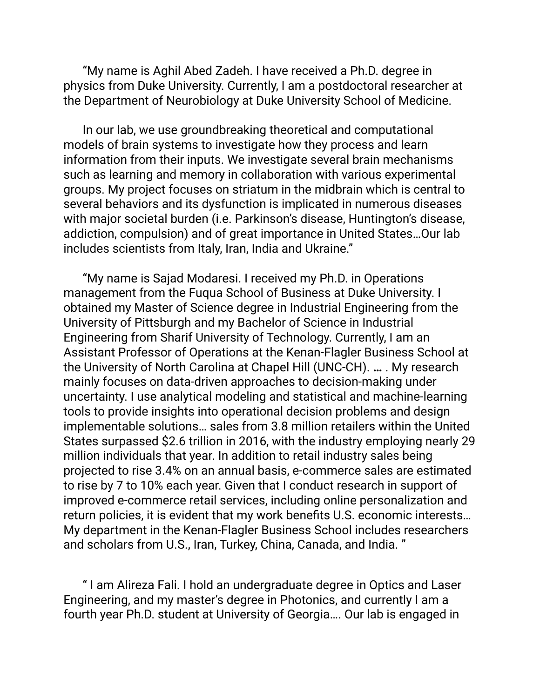"My name is Aghil Abed Zadeh. I have received a Ph.D. degree in physics from Duke University. Currently, I am a postdoctoral researcher at the Department of Neurobiology at Duke University School of Medicine.

In our lab, we use groundbreaking theoretical and computational models of brain systems to investigate how they process and learn information from their inputs. We investigate several brain mechanisms such as learning and memory in collaboration with various experimental groups. My project focuses on striatum in the midbrain which is central to several behaviors and its dysfunction is implicated in numerous diseases with major societal burden (i.e. Parkinson's disease, Huntington's disease, addiction, compulsion) and of great importance in United States…Our lab includes scientists from Italy, Iran, India and Ukraine."

"My name is Sajad Modaresi. I received my Ph.D. in Operations management from the Fuqua School of Business at Duke University. I obtained my Master of Science degree in Industrial Engineering from the University of Pittsburgh and my Bachelor of Science in Industrial Engineering from Sharif University of Technology. Currently, I am an Assistant Professor of Operations at the Kenan-Flagler Business School at the University of North Carolina at Chapel Hill (UNC-CH). **…** . My research mainly focuses on data-driven approaches to decision-making under uncertainty. I use analytical modeling and statistical and machine-learning tools to provide insights into operational decision problems and design implementable solutions… sales from 3.8 million retailers within the United States surpassed \$2.6 trillion in 2016, with the industry employing nearly 29 million individuals that year. In addition to retail industry sales being projected to rise 3.4% on an annual basis, e-commerce sales are estimated to rise by 7 to 10% each year. Given that I conduct research in support of improved e-commerce retail services, including online personalization and return policies, it is evident that my work benefits U.S. economic interests… My department in the Kenan-Flagler Business School includes researchers and scholars from U.S., Iran, Turkey, China, Canada, and India. "

" I am Alireza Fali. I hold an undergraduate degree in Optics and Laser Engineering, and my master's degree in Photonics, and currently I am a fourth year Ph.D. student at University of Georgia…. Our lab is engaged in